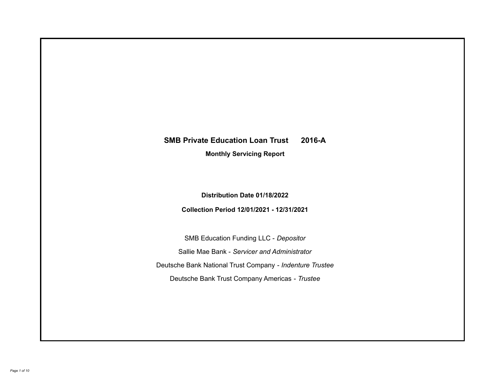# **SMB Private Education Loan Trust 2016-A**

**Monthly Servicing Report**

**Distribution Date 01/18/2022**

**Collection Period 12/01/2021 - 12/31/2021**

SMB Education Funding LLC - *Depositor* Sallie Mae Bank - *Servicer and Administrator* Deutsche Bank National Trust Company - *Indenture Trustee* Deutsche Bank Trust Company Americas - *Trustee*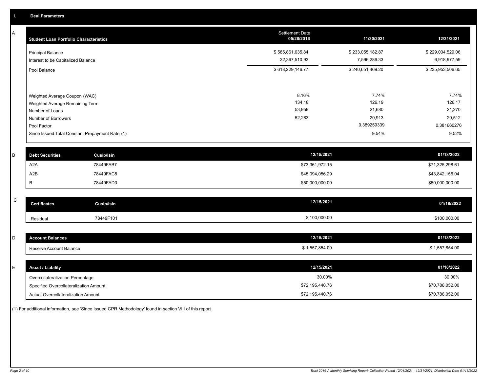A

| A | <b>Student Loan Portfolio Characteristics</b> |                                                 | Settlement Date<br>05/26/2016 | 11/30/2021            | 12/31/2021            |
|---|-----------------------------------------------|-------------------------------------------------|-------------------------------|-----------------------|-----------------------|
|   | <b>Principal Balance</b>                      |                                                 | \$585,861,635.84              | \$233,055,182.87      | \$229,034,529.06      |
|   | Interest to be Capitalized Balance            |                                                 | 32,367,510.93                 | 7,596,286.33          | 6,918,977.59          |
|   | Pool Balance                                  |                                                 | \$618,229,146.77              | \$240,651,469.20      | \$235,953,506.65      |
|   |                                               |                                                 |                               |                       |                       |
|   | Weighted Average Coupon (WAC)                 |                                                 | 8.16%                         | 7.74%                 | 7.74%                 |
|   | Weighted Average Remaining Term               |                                                 | 134.18<br>53,959              | 126.19<br>21,680      | 126.17<br>21,270      |
|   | Number of Loans                               |                                                 |                               |                       |                       |
|   | Number of Borrowers                           |                                                 | 52,283                        | 20,913<br>0.389259339 | 20,512<br>0.381660276 |
|   | Pool Factor                                   | Since Issued Total Constant Prepayment Rate (1) |                               | 9.54%                 | 9.52%                 |
|   |                                               |                                                 |                               |                       |                       |
| B | <b>Debt Securities</b>                        | <b>Cusip/Isin</b>                               | 12/15/2021                    |                       | 01/18/2022            |
|   | A <sub>2</sub> A                              | 78449FAB7                                       | \$73,361,972.15               |                       | \$71,325,298.61       |
|   | A2B                                           | 78449FAC5                                       | \$45,094,056.29               |                       | \$43,842,156.04       |
|   | B                                             | 78449FAD3                                       | \$50,000,000.00               |                       | \$50,000,000.00       |
|   |                                               |                                                 |                               |                       |                       |
| C | <b>Certificates</b>                           | <b>Cusip/Isin</b>                               | 12/15/2021                    |                       | 01/18/2022            |
|   | Residual                                      | 78449F101                                       | \$100,000.00                  |                       | \$100,000.00          |
|   |                                               |                                                 |                               |                       |                       |
| D | <b>Account Balances</b>                       |                                                 | 12/15/2021                    |                       | 01/18/2022            |
|   | Reserve Account Balance                       |                                                 | \$1,557,854.00                |                       | \$1,557,854.00        |

 $\,$  C  $\,$ 

| E. | <b>Asset / Liability</b>               | 12/15/2021      | 01/18/2022      |
|----|----------------------------------------|-----------------|-----------------|
|    | Overcollateralization Percentage       | 30.00%          | 30.00%          |
|    | Specified Overcollateralization Amount | \$72,195,440.76 | \$70,786,052.00 |
|    | Actual Overcollateralization Amount    | \$72,195,440.76 | \$70,786,052.00 |

(1) For additional information, see 'Since Issued CPR Methodology' found in section VIII of this report .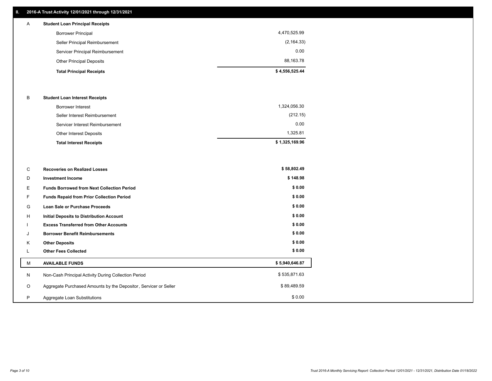## **II. 2016-A Trust Activity 12/01/2021 through 12/31/2021**

## **Total Principal Receipts \$ 4,556,525.44**  Other Principal Deposits 88,163.78 Servicer Principal Reimbursement 0.00 Seller Principal Reimbursement (2,164.33) Borrower Principal 4,470,525.99 A **Student Loan Principal Receipts**

### B **Student Loan Interest Receipts**

| <b>Total Interest Receipts</b>  | \$1,325,169.96 |
|---------------------------------|----------------|
| Other Interest Deposits         | 1.325.81       |
| Servicer Interest Reimbursement | 0.00           |
| Seller Interest Reimbursement   | (212.15)       |
| Borrower Interest               | 1,324,056.30   |

| C       | <b>Recoveries on Realized Losses</b>                             | \$58,802.49    |
|---------|------------------------------------------------------------------|----------------|
| D       | <b>Investment Income</b>                                         | \$148.98       |
| Е       | <b>Funds Borrowed from Next Collection Period</b>                | \$0.00         |
| F       | <b>Funds Repaid from Prior Collection Period</b>                 | \$0.00         |
| G       | Loan Sale or Purchase Proceeds                                   | \$0.00         |
| Н       | Initial Deposits to Distribution Account                         | \$0.00         |
|         | <b>Excess Transferred from Other Accounts</b>                    | \$0.00         |
| J       | <b>Borrower Benefit Reimbursements</b>                           | \$0.00         |
| K       | <b>Other Deposits</b>                                            | \$0.00         |
| ⊾       | <b>Other Fees Collected</b>                                      | \$0.00         |
| M       | <b>AVAILABLE FUNDS</b>                                           | \$5,940,646.87 |
| N       | Non-Cash Principal Activity During Collection Period             | \$535,871.63   |
| $\circ$ | Aggregate Purchased Amounts by the Depositor, Servicer or Seller | \$89,489.59    |
| P       | Aggregate Loan Substitutions                                     | \$0.00         |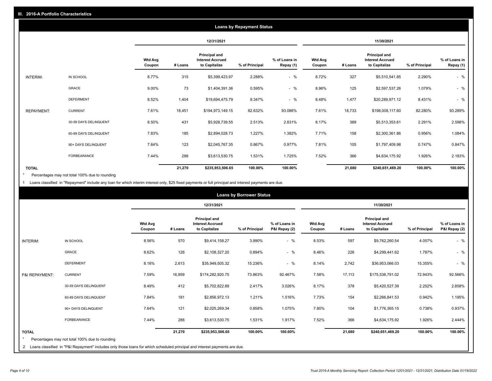|                   | <b>Loans by Repayment Status</b> |                          |            |                                                           |                |                            |                          |         |                                                           |                |                            |
|-------------------|----------------------------------|--------------------------|------------|-----------------------------------------------------------|----------------|----------------------------|--------------------------|---------|-----------------------------------------------------------|----------------|----------------------------|
|                   |                                  |                          | 12/31/2021 |                                                           |                | 11/30/2021                 |                          |         |                                                           |                |                            |
|                   |                                  | <b>Wtd Avg</b><br>Coupon | # Loans    | Principal and<br><b>Interest Accrued</b><br>to Capitalize | % of Principal | % of Loans in<br>Repay (1) | <b>Wtd Avg</b><br>Coupon | # Loans | Principal and<br><b>Interest Accrued</b><br>to Capitalize | % of Principal | % of Loans in<br>Repay (1) |
| INTERIM:          | IN SCHOOL                        | 8.77%                    | 315        | \$5,399,423.97                                            | 2.288%         | $-$ %                      | 8.72%                    | 327     | \$5,510,541.85                                            | 2.290%         | $-$ %                      |
|                   | GRACE                            | 9.00%                    | 73         | \$1,404,391.36                                            | 0.595%         | $-$ %                      | 8.96%                    | 125     | \$2,597,537.26                                            | 1.079%         | $-$ %                      |
|                   | <b>DEFERMENT</b>                 | 8.52%                    | 1,404      | \$19,694,475.79                                           | 8.347%         | $-$ %                      | 8.48%                    | 1,477   | \$20,289,971.12                                           | 8.431%         | $-$ %                      |
| <b>REPAYMENT:</b> | <b>CURRENT</b>                   | 7.61%                    | 18,451     | \$194,973,149.15                                          | 82.632%        | 93.086%                    | 7.61%                    | 18,733  | \$198,008,117.60                                          | 82.280%        | 93.289%                    |
|                   | 30-59 DAYS DELINQUENT            | 8.50%                    | 431        | \$5,928,739.55                                            | 2.513%         | 2.831%                     | 8.17%                    | 389     | \$5,513,353.61                                            | 2.291%         | 2.598%                     |
|                   | 60-89 DAYS DELINQUENT            | 7.83%                    | 185        | \$2,894,028.73                                            | 1.227%         | 1.382%                     | 7.71%                    | 158     | \$2,300,361.86                                            | 0.956%         | 1.084%                     |
|                   | 90+ DAYS DELINQUENT              | 7.64%                    | 123        | \$2,045,767.35                                            | 0.867%         | 0.977%                     | 7.81%                    | 105     | \$1,797,409.98                                            | 0.747%         | 0.847%                     |
|                   | FORBEARANCE                      | 7.44%                    | 288        | \$3,613,530.75                                            | 1.531%         | 1.725%                     | 7.52%                    | 366     | \$4,634,175.92                                            | 1.926%         | 2.183%                     |
| <b>TOTAL</b>      |                                  |                          | 21,270     | \$235,953,506.65                                          | 100.00%        | 100.00%                    |                          | 21,680  | \$240,651,469.20                                          | 100.00%        | 100.00%                    |

Percentages may not total 100% due to rounding \*

1 Loans classified in "Repayment" include any loan for which interim interest only, \$25 fixed payments or full principal and interest payments are due.

| <b>Loans by Borrower Status</b>                                                                                                                                                                           |                          |         |                                                           |                |                                |                          |         |                                                                  |                |                                |
|-----------------------------------------------------------------------------------------------------------------------------------------------------------------------------------------------------------|--------------------------|---------|-----------------------------------------------------------|----------------|--------------------------------|--------------------------|---------|------------------------------------------------------------------|----------------|--------------------------------|
|                                                                                                                                                                                                           |                          |         | 12/31/2021                                                |                |                                |                          |         | 11/30/2021                                                       |                |                                |
|                                                                                                                                                                                                           | <b>Wtd Avg</b><br>Coupon | # Loans | Principal and<br><b>Interest Accrued</b><br>to Capitalize | % of Principal | % of Loans in<br>P&I Repay (2) | <b>Wtd Avg</b><br>Coupon | # Loans | <b>Principal and</b><br><b>Interest Accrued</b><br>to Capitalize | % of Principal | % of Loans in<br>P&I Repay (2) |
| <b>INTERIM:</b><br>IN SCHOOL                                                                                                                                                                              | 8.56%                    | 570     | \$9,414,158.27                                            | 3.990%         | $-$ %                          | 8.53%                    | 597     | \$9,762,260.54                                                   | 4.057%         | $-$ %                          |
| <b>GRACE</b>                                                                                                                                                                                              | 8.62%                    | 126     | \$2,108,327.20                                            | 0.894%         | $-$ %                          | 8.46%                    | 226     | \$4,299,441.62                                                   | 1.787%         | $-$ %                          |
| <b>DEFERMENT</b>                                                                                                                                                                                          | 8.16%                    | 2,613   | \$35,949,505.32                                           | 15.236%        | $-$ %                          | 8.14%                    | 2,742   | \$36,953,066.03                                                  | 15.355%        | $-$ %                          |
| <b>CURRENT</b><br>P&I REPAYMENT:                                                                                                                                                                          | 7.59%                    | 16,959  | \$174,282,920.75                                          | 73.863%        | 92.467%                        | 7.58%                    | 17,113  | \$175,538,791.02                                                 | 72.943%        | 92.566%                        |
| 30-59 DAYS DELINQUENT                                                                                                                                                                                     | 8.49%                    | 412     | \$5,702,822.89                                            | 2.417%         | 3.026%                         | 8.17%                    | 378     | \$5,420,527.39                                                   | 2.252%         | 2.858%                         |
| 60-89 DAYS DELINQUENT                                                                                                                                                                                     | 7.84%                    | 181     | \$2,856,972.13                                            | 1.211%         | 1.516%                         | 7.73%                    | 154     | \$2,266,841.53                                                   | 0.942%         | 1.195%                         |
| 90+ DAYS DELINQUENT                                                                                                                                                                                       | 7.64%                    | 121     | \$2,025,269.34                                            | 0.858%         | 1.075%                         | 7.80%                    | 104     | \$1,776,365.15                                                   | 0.738%         | 0.937%                         |
| <b>FORBEARANCE</b>                                                                                                                                                                                        | 7.44%                    | 288     | \$3,613,530.75                                            | 1.531%         | 1.917%                         | 7.52%                    | 366     | \$4,634,175.92                                                   | 1.926%         | 2.444%                         |
| <b>TOTAL</b><br>$\star$<br>Percentages may not total 100% due to rounding<br>2 Loans classified in "P&I Repayment" includes only those loans for which scheduled principal and interest payments are due. |                          | 21,270  | \$235,953,506.65                                          | 100.00%        | 100.00%                        |                          | 21,680  | \$240,651,469.20                                                 | 100.00%        | 100.00%                        |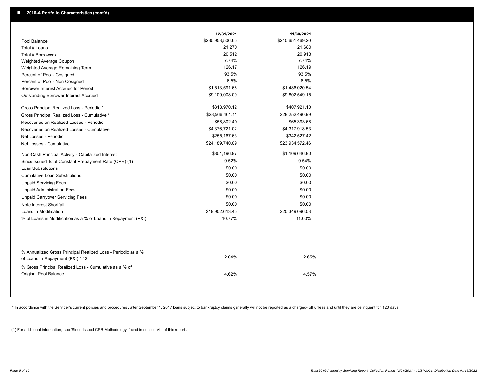|                                                                                                  | 12/31/2021       | 11/30/2021       |
|--------------------------------------------------------------------------------------------------|------------------|------------------|
| Pool Balance                                                                                     | \$235,953,506.65 | \$240,651,469.20 |
| Total # Loans                                                                                    | 21,270           | 21,680           |
| Total # Borrowers                                                                                | 20,512           | 20,913           |
| Weighted Average Coupon                                                                          | 7.74%            | 7.74%            |
| Weighted Average Remaining Term                                                                  | 126.17           | 126.19           |
| Percent of Pool - Cosigned                                                                       | 93.5%            | 93.5%            |
| Percent of Pool - Non Cosigned                                                                   | 6.5%             | 6.5%             |
| Borrower Interest Accrued for Period                                                             | \$1,513,591.66   | \$1,486,020.54   |
| Outstanding Borrower Interest Accrued                                                            | \$9,109,008.09   | \$9,802,549.15   |
| Gross Principal Realized Loss - Periodic *                                                       | \$313,970.12     | \$407,921.10     |
| Gross Principal Realized Loss - Cumulative *                                                     | \$28,566,461.11  | \$28,252,490.99  |
| Recoveries on Realized Losses - Periodic                                                         | \$58,802.49      | \$65,393.68      |
| Recoveries on Realized Losses - Cumulative                                                       | \$4,376,721.02   | \$4,317,918.53   |
| Net Losses - Periodic                                                                            | \$255,167.63     | \$342,527.42     |
| Net Losses - Cumulative                                                                          | \$24,189,740.09  | \$23,934,572.46  |
| Non-Cash Principal Activity - Capitalized Interest                                               | \$851,196.97     | \$1,109,646.80   |
| Since Issued Total Constant Prepayment Rate (CPR) (1)                                            | 9.52%            | 9.54%            |
| <b>Loan Substitutions</b>                                                                        | \$0.00           | \$0.00           |
| <b>Cumulative Loan Substitutions</b>                                                             | \$0.00           | \$0.00           |
| <b>Unpaid Servicing Fees</b>                                                                     | \$0.00           | \$0.00           |
| <b>Unpaid Administration Fees</b>                                                                | \$0.00           | \$0.00           |
| <b>Unpaid Carryover Servicing Fees</b>                                                           | \$0.00           | \$0.00           |
| Note Interest Shortfall                                                                          | \$0.00           | \$0.00           |
| Loans in Modification                                                                            | \$19,902,613.45  | \$20,349,096.03  |
| % of Loans in Modification as a % of Loans in Repayment (P&I)                                    | 10.77%           | 11.00%           |
|                                                                                                  |                  |                  |
| % Annualized Gross Principal Realized Loss - Periodic as a %<br>of Loans in Repayment (P&I) * 12 | 2.04%            | 2.65%            |
| % Gross Principal Realized Loss - Cumulative as a % of                                           |                  |                  |
| Original Pool Balance                                                                            | 4.62%            | 4.57%            |

\* In accordance with the Servicer's current policies and procedures, after September 1, 2017 loans subject to bankruptcy claims generally will not be reported as a charged- off unless and until they are delinquent for 120

(1) For additional information, see 'Since Issued CPR Methodology' found in section VIII of this report .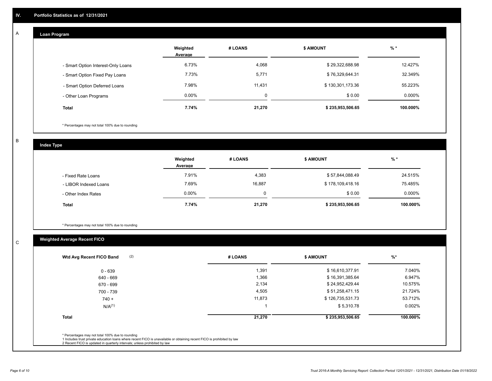#### **Loan Program**  A

|                                    | Weighted<br>Average | # LOANS     | <b>\$ AMOUNT</b> | $%$ *    |
|------------------------------------|---------------------|-------------|------------------|----------|
| - Smart Option Interest-Only Loans | 6.73%               | 4,068       | \$29,322,688.98  | 12.427%  |
| - Smart Option Fixed Pay Loans     | 7.73%               | 5,771       | \$76,329,644.31  | 32.349%  |
| - Smart Option Deferred Loans      | 7.98%               | 11,431      | \$130,301,173.36 | 55.223%  |
| - Other Loan Programs              | $0.00\%$            | $\mathbf 0$ | \$0.00           | 0.000%   |
| <b>Total</b>                       | 7.74%               | 21,270      | \$235,953,506.65 | 100.000% |

\* Percentages may not total 100% due to rounding

B

C

**Index Type**

|                       | Weighted<br>Average | # LOANS | \$ AMOUNT        | % *       |
|-----------------------|---------------------|---------|------------------|-----------|
| - Fixed Rate Loans    | 7.91%               | 4,383   | \$57,844,088.49  | 24.515%   |
| - LIBOR Indexed Loans | 7.69%               | 16,887  | \$178,109,418.16 | 75.485%   |
| - Other Index Rates   | $0.00\%$            | 0       | \$0.00           | $0.000\%$ |
| <b>Total</b>          | 7.74%               | 21,270  | \$235,953,506.65 | 100.000%  |

\* Percentages may not total 100% due to rounding

## **Weighted Average Recent FICO**

| $0 - 639$<br>640 - 669<br>670 - 699<br>700 - 739 | 1,391<br>1,366<br>2,134<br>4,505 | \$16,610,377.91<br>\$16,391,385.64<br>\$24,952,429.44 | 7.040%<br>6.947%<br>10.575% |
|--------------------------------------------------|----------------------------------|-------------------------------------------------------|-----------------------------|
|                                                  |                                  |                                                       |                             |
|                                                  |                                  |                                                       |                             |
|                                                  |                                  |                                                       |                             |
|                                                  |                                  | \$51,258,471.15                                       | 21.724%                     |
| $740 +$                                          | 11,873                           | \$126,735,531.73                                      | 53.712%                     |
| N/A <sup>(1)</sup>                               |                                  | \$5,310.78                                            | 0.002%                      |
| <b>Total</b>                                     | 21,270                           | \$235,953,506.65                                      | 100.000%                    |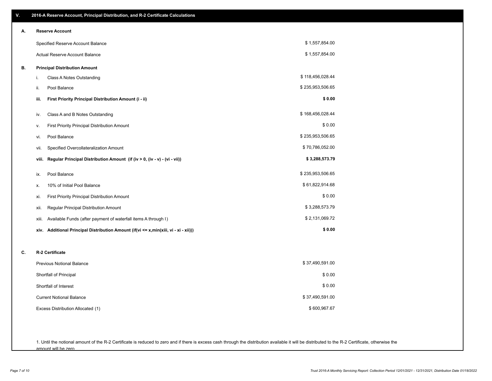| V. | 2016-A Reserve Account, Principal Distribution, and R-2 Certificate Calculations     |                  |
|----|--------------------------------------------------------------------------------------|------------------|
| А. | <b>Reserve Account</b>                                                               |                  |
|    | Specified Reserve Account Balance                                                    | \$1,557,854.00   |
|    | Actual Reserve Account Balance                                                       | \$1,557,854.00   |
| В. | <b>Principal Distribution Amount</b>                                                 |                  |
|    | i.<br>Class A Notes Outstanding                                                      | \$118,456,028.44 |
|    | ii.<br>Pool Balance                                                                  | \$235,953,506.65 |
|    | First Priority Principal Distribution Amount (i - ii)<br>iii.                        | \$0.00           |
|    | Class A and B Notes Outstanding<br>iv.                                               | \$168,456,028.44 |
|    | First Priority Principal Distribution Amount<br>۷.                                   | \$0.00           |
|    | Pool Balance<br>vi.                                                                  | \$235,953,506.65 |
|    | Specified Overcollateralization Amount<br>vii.                                       | \$70,786,052.00  |
|    | Regular Principal Distribution Amount (if (iv > 0, (iv - v) - (vi - vii))<br>viii.   | \$3,288,573.79   |
|    | Pool Balance<br>ix.                                                                  | \$235,953,506.65 |
|    | 10% of Initial Pool Balance<br>х.                                                    | \$61,822,914.68  |
|    | First Priority Principal Distribution Amount<br>xi.                                  | \$0.00           |
|    | Regular Principal Distribution Amount<br>xii.                                        | \$3,288,573.79   |
|    | Available Funds (after payment of waterfall items A through I)<br>xiii.              | \$2,131,069.72   |
|    | xiv. Additional Principal Distribution Amount (if(vi <= x,min(xiii, vi - xi - xii))) | \$0.00           |
| C. | R-2 Certificate                                                                      |                  |
|    | <b>Previous Notional Balance</b>                                                     | \$37,490,591.00  |
|    | Shortfall of Principal                                                               | \$0.00           |
|    | Shortfall of Interest                                                                | \$0.00           |
|    | <b>Current Notional Balance</b>                                                      | \$37,490,591.00  |
|    | Excess Distribution Allocated (1)                                                    | \$600,967.67     |
|    |                                                                                      |                  |
|    |                                                                                      |                  |

1. Until the notional amount of the R-2 Certificate is reduced to zero and if there is excess cash through the distribution available it will be distributed to the R-2 Certificate, otherwise the amount will be zero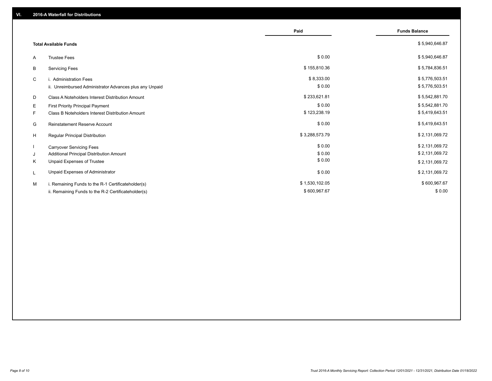|                                                         | Paid           | <b>Funds Balance</b> |
|---------------------------------------------------------|----------------|----------------------|
| <b>Total Available Funds</b>                            |                | \$5,940,646.87       |
| <b>Trustee Fees</b><br>A                                | \$0.00         | \$5,940,646.87       |
| <b>Servicing Fees</b><br>В                              | \$155,810.36   | \$5,784,836.51       |
| C<br>i. Administration Fees                             | \$8,333.00     | \$5,776,503.51       |
| ii. Unreimbursed Administrator Advances plus any Unpaid | \$0.00         | \$5,776,503.51       |
| Class A Noteholders Interest Distribution Amount<br>D   | \$233,621.81   | \$5,542,881.70       |
| Е<br>First Priority Principal Payment                   | \$0.00         | \$5,542,881.70       |
| Class B Noteholders Interest Distribution Amount<br>F.  | \$123,238.19   | \$5,419,643.51       |
| <b>Reinstatement Reserve Account</b><br>G               | \$0.00         | \$5,419,643.51       |
| H<br>Regular Principal Distribution                     | \$3,288,573.79 | \$2,131,069.72       |
| <b>Carryover Servicing Fees</b>                         | \$0.00         | \$2,131,069.72       |
| Additional Principal Distribution Amount<br>J           | \$0.00         | \$2,131,069.72       |
| Unpaid Expenses of Trustee<br>Κ                         | \$0.00         | \$2,131,069.72       |
| Unpaid Expenses of Administrator<br>L                   | \$0.00         | \$2,131,069.72       |
| i. Remaining Funds to the R-1 Certificateholder(s)<br>м | \$1,530,102.05 | \$600,967.67         |
| ii. Remaining Funds to the R-2 Certificateholder(s)     | \$600,967.67   | \$0.00               |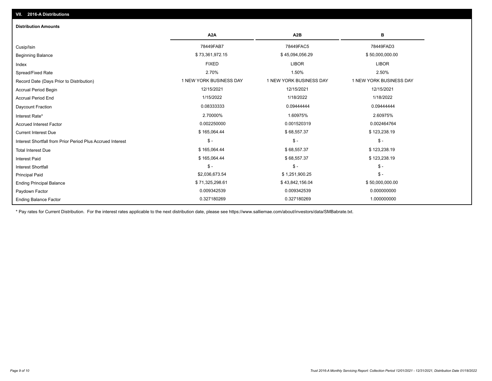| <b>Distribution Amounts</b>                                |                         |                         |                         |
|------------------------------------------------------------|-------------------------|-------------------------|-------------------------|
|                                                            | A <sub>2</sub> A        | A2B                     | в                       |
| Cusip/Isin                                                 | 78449FAB7               | 78449FAC5               | 78449FAD3               |
| <b>Beginning Balance</b>                                   | \$73,361,972.15         | \$45,094,056.29         | \$50,000,000.00         |
| Index                                                      | <b>FIXED</b>            | <b>LIBOR</b>            | <b>LIBOR</b>            |
| Spread/Fixed Rate                                          | 2.70%                   | 1.50%                   | 2.50%                   |
| Record Date (Days Prior to Distribution)                   | 1 NEW YORK BUSINESS DAY | 1 NEW YORK BUSINESS DAY | 1 NEW YORK BUSINESS DAY |
| <b>Accrual Period Begin</b>                                | 12/15/2021              | 12/15/2021              | 12/15/2021              |
| <b>Accrual Period End</b>                                  | 1/15/2022               | 1/18/2022               | 1/18/2022               |
| Daycount Fraction                                          | 0.08333333              | 0.09444444              | 0.09444444              |
| Interest Rate*                                             | 2.70000%                | 1.60975%                | 2.60975%                |
| <b>Accrued Interest Factor</b>                             | 0.002250000             | 0.001520319             | 0.002464764             |
| <b>Current Interest Due</b>                                | \$165,064.44            | \$68,557.37             | \$123,238.19            |
| Interest Shortfall from Prior Period Plus Accrued Interest | $\mathsf{\$}$ -         | $$ -$                   | $\mathsf{\$}$ -         |
| <b>Total Interest Due</b>                                  | \$165,064.44            | \$68,557.37             | \$123,238.19            |
| <b>Interest Paid</b>                                       | \$165,064.44            | \$68,557.37             | \$123,238.19            |
| Interest Shortfall                                         | $\mathsf{\$}$ -         | $$ -$                   | $$ -$                   |
| <b>Principal Paid</b>                                      | \$2,036,673.54          | \$1,251,900.25          | $$ -$                   |
| <b>Ending Principal Balance</b>                            | \$71,325,298.61         | \$43,842,156.04         | \$50,000,000.00         |
| Paydown Factor                                             | 0.009342539             | 0.009342539             | 0.000000000             |
| <b>Ending Balance Factor</b>                               | 0.327180269             | 0.327180269             | 1.000000000             |

\* Pay rates for Current Distribution. For the interest rates applicable to the next distribution date, please see https://www.salliemae.com/about/investors/data/SMBabrate.txt.

**VII. 2016-A Distributions**